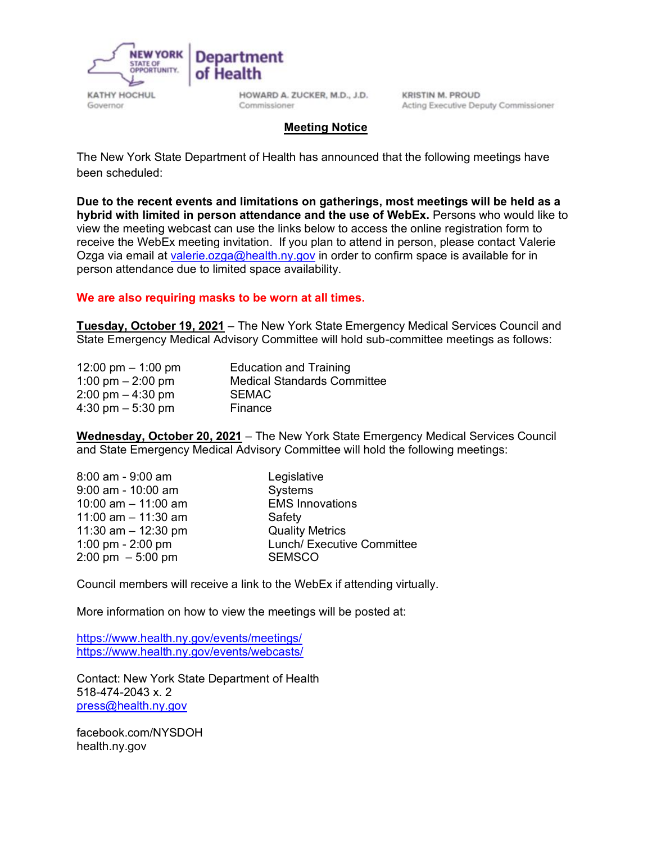

HOWARD A. ZUCKER, M.D., J.D. Commissioner

**KRISTIN M. PROUD** Acting Executive Deputy Commissioner

#### **Meeting Notice**

The New York State Department of Health has announced that the following meetings have been scheduled:

**Due to the recent events and limitations on gatherings, most meetings will be held as a hybrid with limited in person attendance and the use of WebEx.** Persons who would like to view the meeting webcast can use the links below to access the online registration form to receive the WebEx meeting invitation. If you plan to attend in person, please contact Valerie Ozga via email at [valerie.ozga@health.ny.gov](mailto:valarie.ozga@health.ny.gov) in order to confirm space is available for in person attendance due to limited space availability.

#### **We are also requiring masks to be worn at all times.**

**Tuesday, October 19, 2021** – The New York State Emergency Medical Services Council and State Emergency Medical Advisory Committee will hold sub-committee meetings as follows:

| 12:00 pm $-$ 1:00 pm                | <b>Education and Training</b>      |
|-------------------------------------|------------------------------------|
| 1:00 pm $-$ 2:00 pm                 | <b>Medical Standards Committee</b> |
| $2:00 \text{ pm} - 4:30 \text{ pm}$ | <b>SEMAC</b>                       |
| $4:30 \text{ pm} - 5:30 \text{ pm}$ | Finance                            |

**Wednesday, October 20, 2021** – The New York State Emergency Medical Services Council and State Emergency Medical Advisory Committee will hold the following meetings:

| 8:00 am - 9:00 am                    | Legislative                |
|--------------------------------------|----------------------------|
| $9:00$ am - $10:00$ am               | Systems                    |
| 10:00 am $-$ 11:00 am                | <b>EMS Innovations</b>     |
| 11:00 am $-$ 11:30 am                | Safety                     |
| 11:30 am $-$ 12:30 pm                | <b>Quality Metrics</b>     |
| 1:00 pm - 2:00 pm                    | Lunch/ Executive Committee |
| $2:00 \text{ pm } -5:00 \text{ pm }$ | <b>SEMSCO</b>              |

Council members will receive a link to the WebEx if attending virtually.

More information on how to view the meetings will be posted at:

<https://www.health.ny.gov/events/meetings/> <https://www.health.ny.gov/events/webcasts/>

Contact: New York State Department of Health 518-474-2043 x. 2 [press@health.ny.gov](mailto:press@health.ny.gov)

facebook.com/NYSDOH health.ny.gov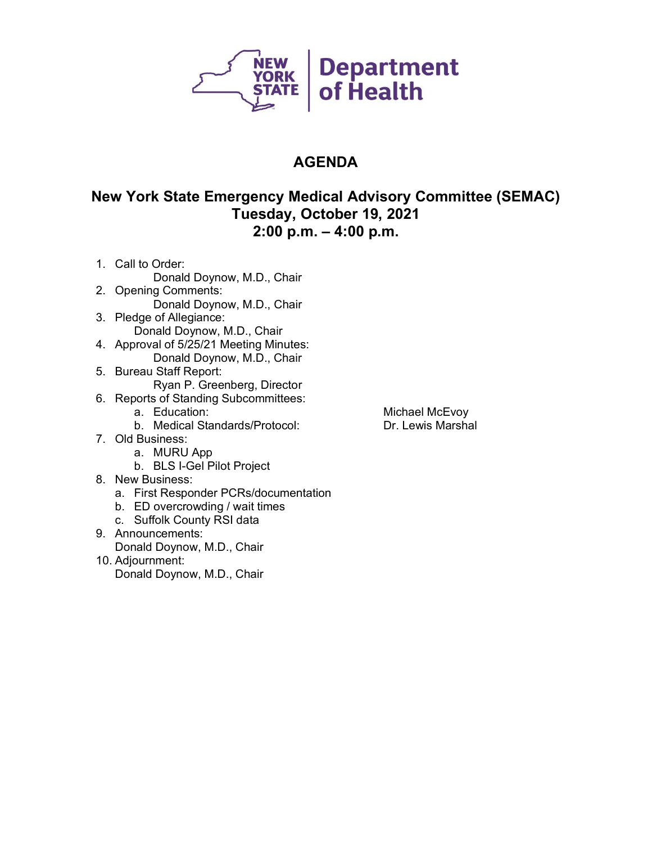

#### **New York State Emergency Medical Advisory Committee (SEMAC) Tuesday, October 19, 2021 2:00 p.m. – 4:00 p.m.**

- 1. Call to Order: Donald Doynow, M.D., Chair
- 2. Opening Comments: Donald Doynow, M.D., Chair
- 3. Pledge of Allegiance: Donald Doynow, M.D., Chair
- 4. Approval of 5/25/21 Meeting Minutes: Donald Doynow, M.D., Chair
- 5. Bureau Staff Report: Ryan P. Greenberg, Director
- 6. Reports of Standing Subcommittees:
	-
	- b. Medical Standards/Protocol:
- 7. Old Business:
	- a. MURU App
	- b. BLS I-Gel Pilot Project
- 8. New Business:
	- a. First Responder PCRs/documentation
	- b. ED overcrowding / wait times
	- c. Suffolk County RSI data
- 9. Announcements:
	- Donald Doynow, M.D., Chair
- 10. Adjournment:
	- Donald Doynow, M.D., Chair

Michael McEvoy<br>Dr. Lewis Marshal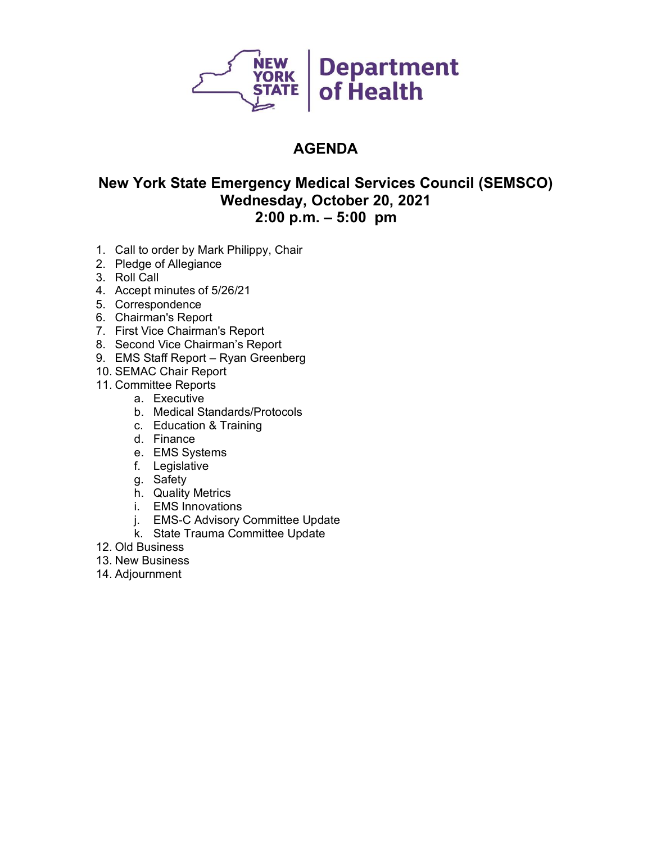

#### **New York State Emergency Medical Services Council (SEMSCO) Wednesday, October 20, 2021 2:00 p.m. – 5:00 pm**

- 1. Call to order by Mark Philippy, Chair
- 2. Pledge of Allegiance
- 3. Roll Call
- 4. Accept minutes of 5/26/21
- 5. Correspondence
- 6. Chairman's Report
- 7. First Vice Chairman's Report
- 8. Second Vice Chairman's Report
- 9. EMS Staff Report Ryan Greenberg
- 10. SEMAC Chair Report
- 11. Committee Reports
	- a. Executive
	- b. Medical Standards/Protocols
	- c. Education & Training
	- d. Finance
	- e. EMS Systems
	- f. Legislative
	- g. Safety
	- h. Quality Metrics
	- i. EMS Innovations
	- j. EMS-C Advisory Committee Update
	- k. State Trauma Committee Update
- 12. Old Business
- 13. New Business
- 14. Adjournment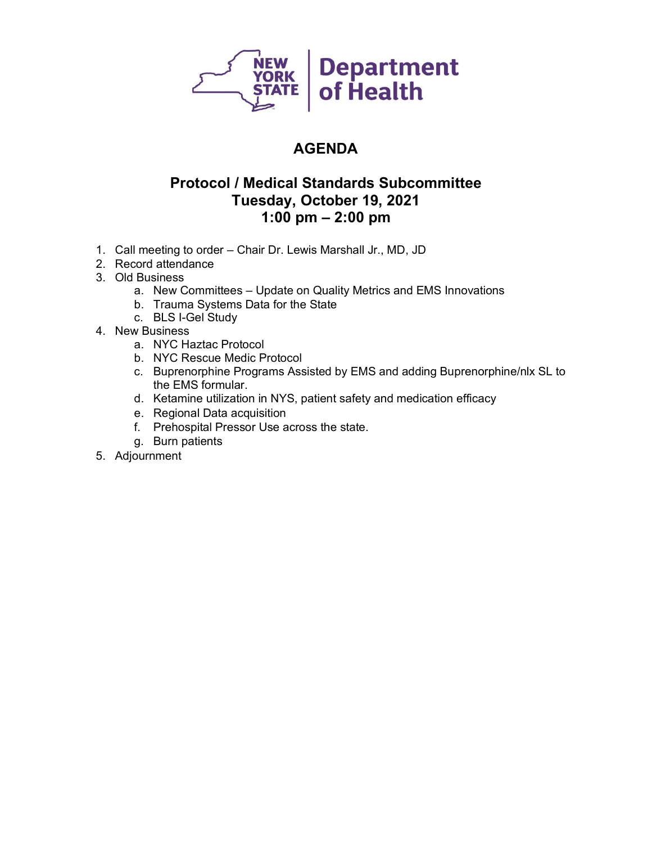

### **Protocol / Medical Standards Subcommittee Tuesday, October 19, 2021 1:00 pm – 2:00 pm**

- 1. Call meeting to order Chair Dr. Lewis Marshall Jr., MD, JD
- 2. Record attendance
- 3. Old Business
	- a. New Committees Update on Quality Metrics and EMS Innovations
	- b. Trauma Systems Data for the State
	- c. BLS I-Gel Study
- 4. New Business
	- a. NYC Haztac Protocol
	- b. NYC Rescue Medic Protocol
	- c. Buprenorphine Programs Assisted by EMS and adding Buprenorphine/nlx SL to the EMS formular.
	- d. Ketamine utilization in NYS, patient safety and medication efficacy
	- e. Regional Data acquisition
	- f. Prehospital Pressor Use across the state.
	- g. Burn patients
- 5. Adjournment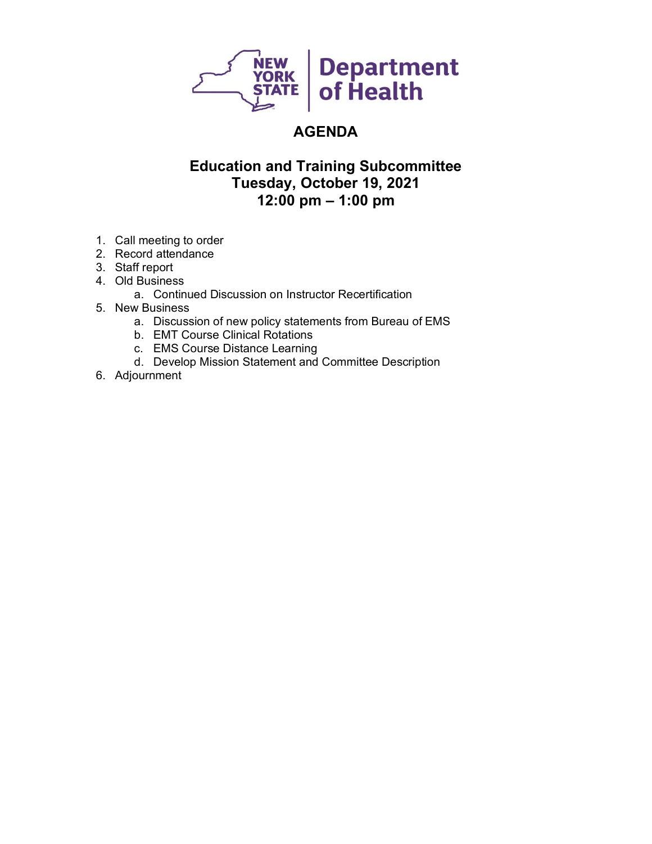

### **Education and Training Subcommittee Tuesday, October 19, 2021 12:00 pm – 1:00 pm**

- 1. Call meeting to order
- 2. Record attendance
- 3. Staff report
- 4. Old Business
	- a. Continued Discussion on Instructor Recertification
- 5. New Business
	- a. Discussion of new policy statements from Bureau of EMS
	- b. EMT Course Clinical Rotations
	- c. EMS Course Distance Learning
	- d. Develop Mission Statement and Committee Description
- 6. Adjournment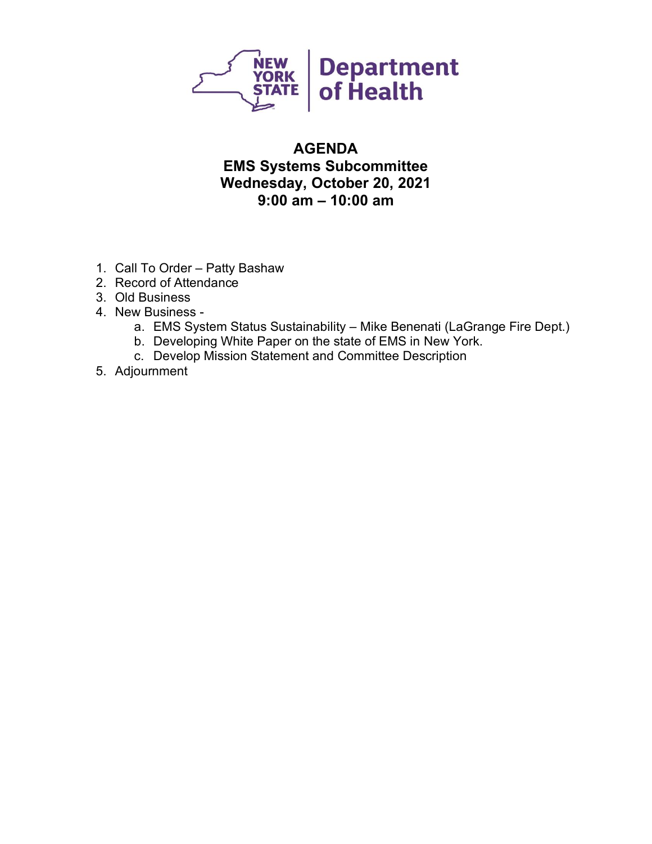

### **AGENDA EMS Systems Subcommittee Wednesday, October 20, 2021 9:00 am – 10:00 am**

- 1. Call To Order Patty Bashaw
- 2. Record of Attendance
- 3. Old Business
- 4. New Business
	- a. EMS System Status Sustainability Mike Benenati (LaGrange Fire Dept.)
	- b. Developing White Paper on the state of EMS in New York.
	- c. Develop Mission Statement and Committee Description
- 5. Adjournment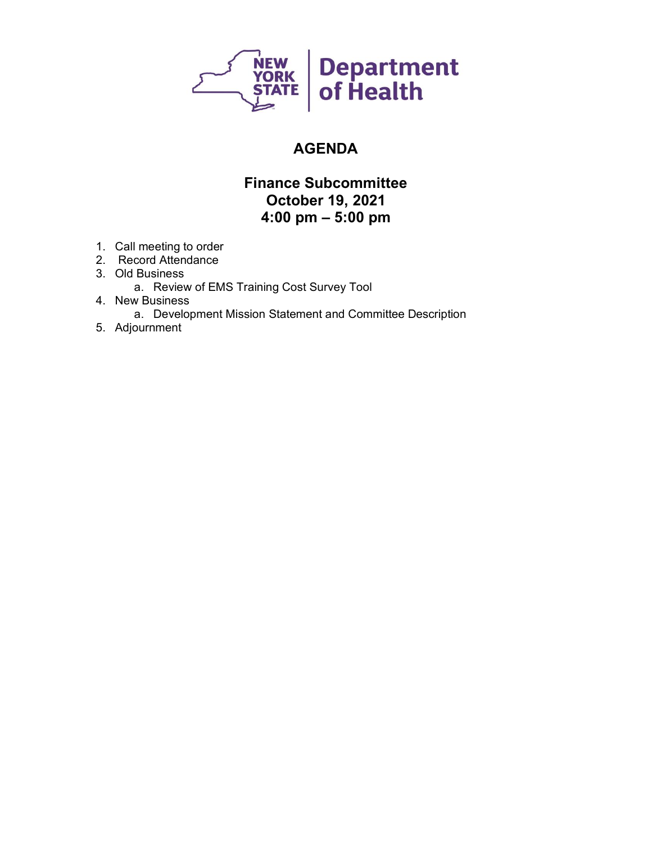

### **Finance Subcommittee October 19, 2021 4:00 pm – 5:00 pm**

- 1. Call meeting to order
- 2. Record Attendance
- 3. Old Business
	- a. Review of EMS Training Cost Survey Tool
- 4. New Business
	- a. Development Mission Statement and Committee Description
- 5. Adjournment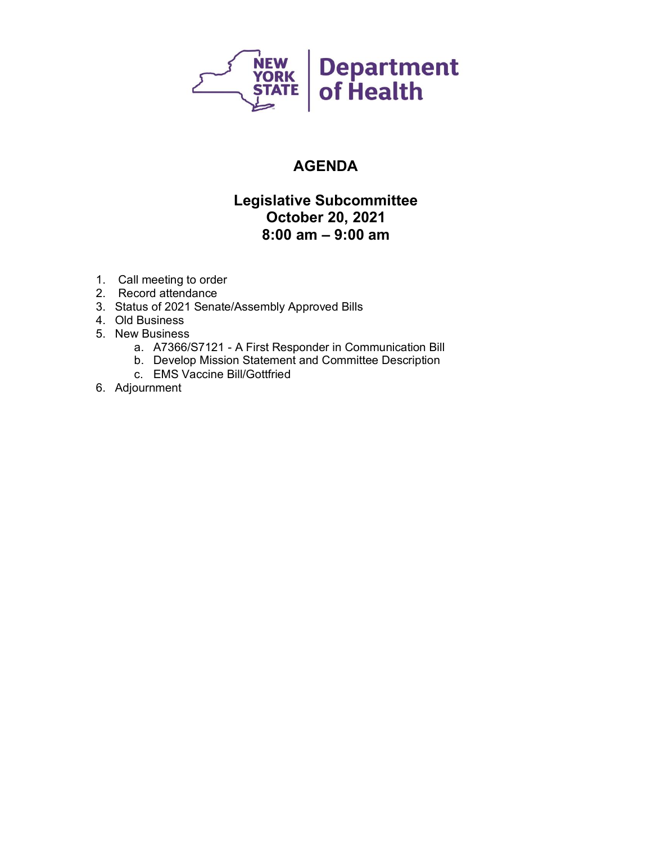

### **Legislative Subcommittee October 20, 2021 8:00 am – 9:00 am**

- 1. Call meeting to order
- 2. Record attendance
- 3. Status of 2021 Senate/Assembly Approved Bills
- 4. Old Business
- 5. New Business
	- a. A7366/S7121 A First Responder in Communication Bill
	- b. Develop Mission Statement and Committee Description
	- c. EMS Vaccine Bill/Gottfried
- 6. Adjournment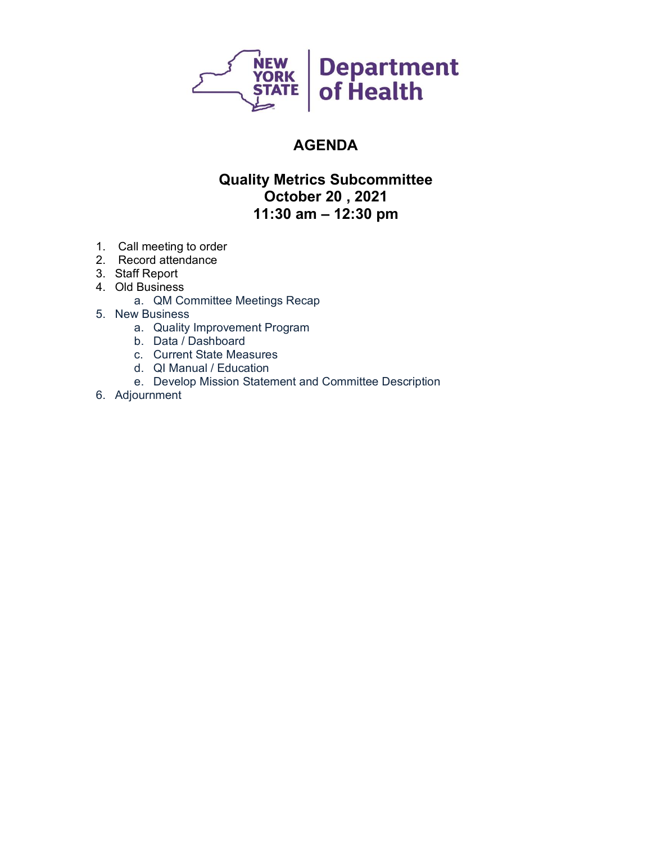

#### **Quality Metrics Subcommittee October 20 , 2021 11:30 am – 12:30 pm**

- 1. Call meeting to order
- 2. Record attendance
- 3. Staff Report
- 4. Old Business
	- a. QM Committee Meetings Recap
- 5. New Business
	- a. Quality Improvement Program
	- b. Data / Dashboard
	- c. Current State Measures
	- d. QI Manual / Education
	- e. Develop Mission Statement and Committee Description
- 6. Adjournment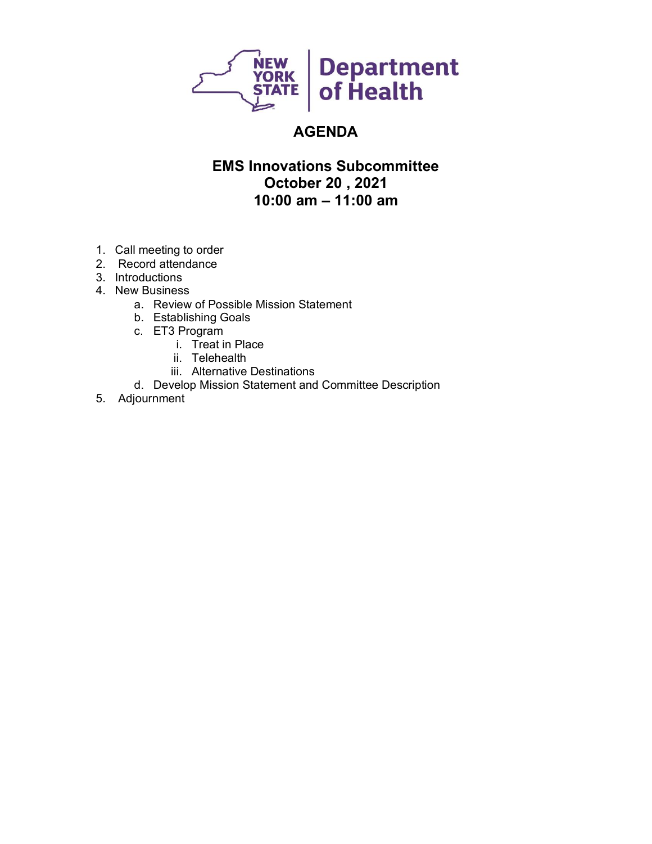

#### **EMS Innovations Subcommittee October 20 , 2021 10:00 am – 11:00 am**

- 1. Call meeting to order
- 2. Record attendance
- 3. Introductions
- 4. New Business
	- a. Review of Possible Mission Statement
	- b. Establishing Goals
	- c. ET3 Program
		- i. Treat in Place
		- ii. Telehealth
		- iii. Alternative Destinations
	- d. Develop Mission Statement and Committee Description
- 5. Adjournment